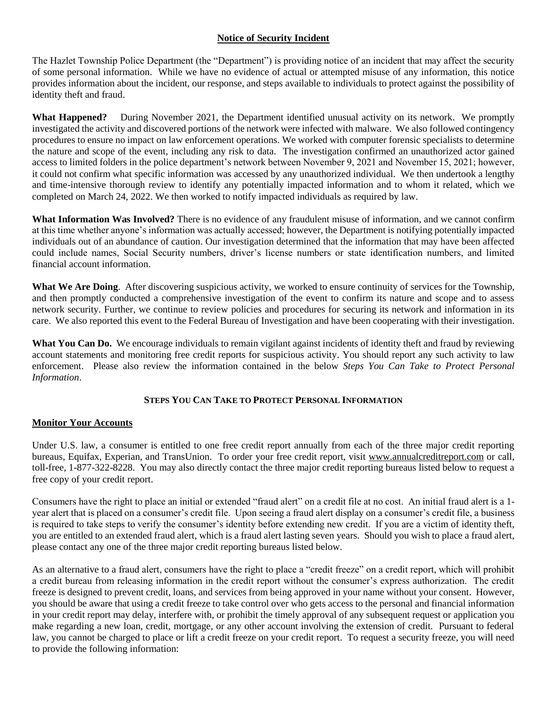## **Notice of Security Incident**

The Hazlet Township Police Department (the "Department") is providing notice of an incident that may affect the security of some personal information. While we have no evidence of actual or attempted misuse of any information, this notice provides information about the incident, our response, and steps available to individuals to protect against the possibility of identity theft and fraud.

**What Happened?** During November 2021, the Department identified unusual activity on its network. We promptly investigated the activity and discovered portions of the network were infected with malware. We also followed contingency procedures to ensure no impact on law enforcement operations. We worked with computer forensic specialists to determine the nature and scope of the event, including any risk to data. The investigation confirmed an unauthorized actor gained access to limited folders in the police department's network between November 9, 2021 and November 15, 2021; however, it could not confirm what specific information was accessed by any unauthorized individual. We then undertook a lengthy and time-intensive thorough review to identify any potentially impacted information and to whom it related, which we completed on March 24, 2022. We then worked to notify impacted individuals as required by law.

**What Information Was Involved?** There is no evidence of any fraudulent misuse of information, and we cannot confirm at this time whether anyone's information was actually accessed; however, the Department is notifying potentially impacted individuals out of an abundance of caution. Our investigation determined that the information that may have been affected could include names, Social Security numbers, driver's license numbers or state identification numbers, and limited financial account information.

**What We Are Doing**. After discovering suspicious activity, we worked to ensure continuity of services for the Township, and then promptly conducted a comprehensive investigation of the event to confirm its nature and scope and to assess network security. Further, we continue to review policies and procedures for securing its network and information in its care. We also reported this event to the Federal Bureau of Investigation and have been cooperating with their investigation.

**What You Can Do.** We encourage individuals to remain vigilant against incidents of identity theft and fraud by reviewing account statements and monitoring free credit reports for suspicious activity. You should report any such activity to law enforcement. Please also review the information contained in the below *Steps You Can Take to Protect Personal Information*.

## **STEPS YOU CAN TAKE TO PROTECT PERSONAL INFORMATION**

# **Monitor Your Accounts**

Under U.S. law, a consumer is entitled to one free credit report annually from each of the three major credit reporting bureaus, Equifax, Experian, and TransUnion. To order your free credit report, visit www.annualcreditreport.com or call, toll-free, 1-877-322-8228. You may also directly contact the three major credit reporting bureaus listed below to request a free copy of your credit report.

Consumers have the right to place an initial or extended "fraud alert" on a credit file at no cost. An initial fraud alert is a 1 year alert that is placed on a consumer's credit file. Upon seeing a fraud alert display on a consumer's credit file, a business is required to take steps to verify the consumer's identity before extending new credit. If you are a victim of identity theft, you are entitled to an extended fraud alert, which is a fraud alert lasting seven years. Should you wish to place a fraud alert, please contact any one of the three major credit reporting bureaus listed below.

As an alternative to a fraud alert, consumers have the right to place a "credit freeze" on a credit report, which will prohibit a credit bureau from releasing information in the credit report without the consumer's express authorization. The credit freeze is designed to prevent credit, loans, and services from being approved in your name without your consent. However, you should be aware that using a credit freeze to take control over who gets access to the personal and financial information in your credit report may delay, interfere with, or prohibit the timely approval of any subsequent request or application you make regarding a new loan, credit, mortgage, or any other account involving the extension of credit. Pursuant to federal law, you cannot be charged to place or lift a credit freeze on your credit report. To request a security freeze, you will need to provide the following information: